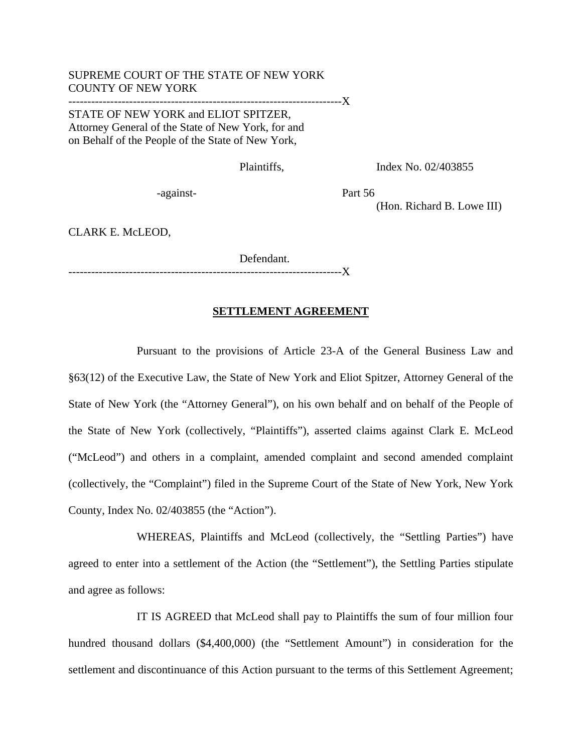## SUPREME COURT OF THE STATE OF NEW YORK COUNTY OF NEW YORK ------------------------------------------------------------------------X STATE OF NEW YORK and ELIOT SPITZER, Attorney General of the State of New York, for and on Behalf of the People of the State of New York,

Plaintiffs, Index No. 02/403855

-against-<br>
Part 56

(Hon. Richard B. Lowe III)

CLARK E. McLEOD,

 Defendant. ------------------------------------------------------------------------X

## **SETTLEMENT AGREEMENT**

Pursuant to the provisions of Article 23-A of the General Business Law and §63(12) of the Executive Law, the State of New York and Eliot Spitzer, Attorney General of the State of New York (the "Attorney General"), on his own behalf and on behalf of the People of the State of New York (collectively, "Plaintiffs"), asserted claims against Clark E. McLeod ("McLeod") and others in a complaint, amended complaint and second amended complaint (collectively, the "Complaint") filed in the Supreme Court of the State of New York, New York County, Index No. 02/403855 (the "Action").

WHEREAS, Plaintiffs and McLeod (collectively, the "Settling Parties") have agreed to enter into a settlement of the Action (the "Settlement"), the Settling Parties stipulate and agree as follows:

IT IS AGREED that McLeod shall pay to Plaintiffs the sum of four million four hundred thousand dollars (\$4,400,000) (the "Settlement Amount") in consideration for the settlement and discontinuance of this Action pursuant to the terms of this Settlement Agreement;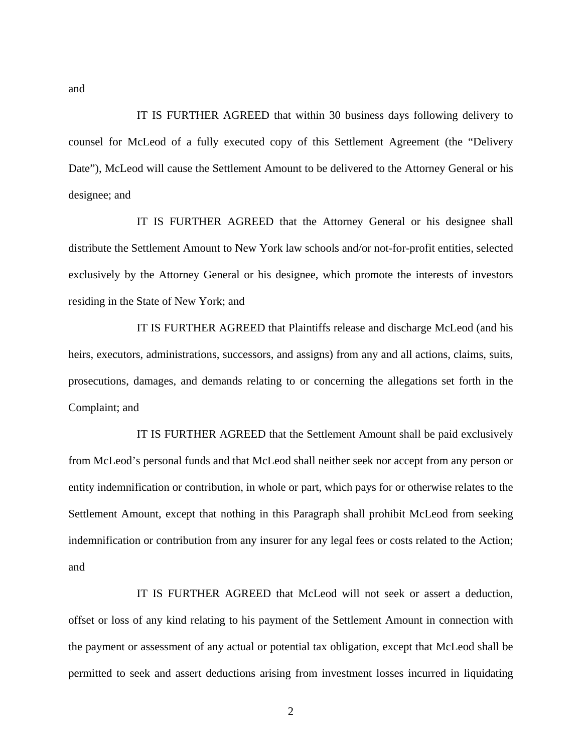IT IS FURTHER AGREED that within 30 business days following delivery to counsel for McLeod of a fully executed copy of this Settlement Agreement (the "Delivery Date"), McLeod will cause the Settlement Amount to be delivered to the Attorney General or his designee; and

IT IS FURTHER AGREED that the Attorney General or his designee shall distribute the Settlement Amount to New York law schools and/or not-for-profit entities, selected exclusively by the Attorney General or his designee, which promote the interests of investors residing in the State of New York; and

IT IS FURTHER AGREED that Plaintiffs release and discharge McLeod (and his heirs, executors, administrations, successors, and assigns) from any and all actions, claims, suits, prosecutions, damages, and demands relating to or concerning the allegations set forth in the Complaint; and

IT IS FURTHER AGREED that the Settlement Amount shall be paid exclusively from McLeod's personal funds and that McLeod shall neither seek nor accept from any person or entity indemnification or contribution, in whole or part, which pays for or otherwise relates to the Settlement Amount, except that nothing in this Paragraph shall prohibit McLeod from seeking indemnification or contribution from any insurer for any legal fees or costs related to the Action; and

IT IS FURTHER AGREED that McLeod will not seek or assert a deduction, offset or loss of any kind relating to his payment of the Settlement Amount in connection with the payment or assessment of any actual or potential tax obligation, except that McLeod shall be permitted to seek and assert deductions arising from investment losses incurred in liquidating

and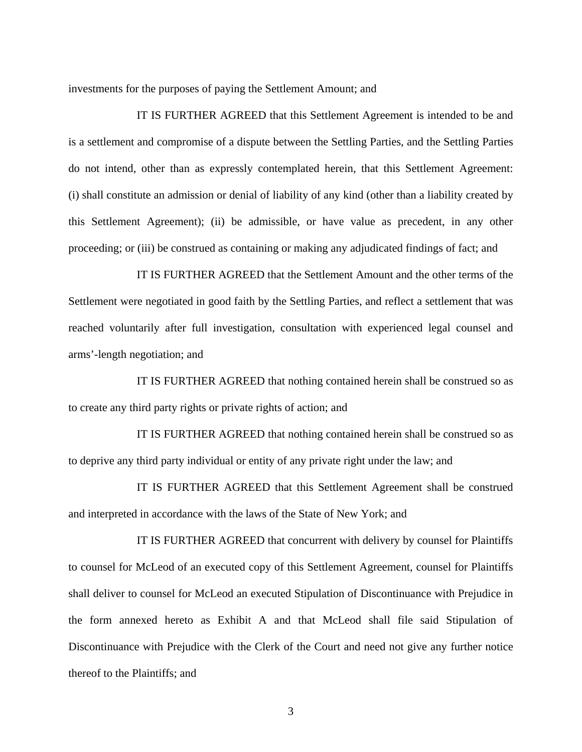investments for the purposes of paying the Settlement Amount; and

IT IS FURTHER AGREED that this Settlement Agreement is intended to be and is a settlement and compromise of a dispute between the Settling Parties, and the Settling Parties do not intend, other than as expressly contemplated herein, that this Settlement Agreement: (i) shall constitute an admission or denial of liability of any kind (other than a liability created by this Settlement Agreement); (ii) be admissible, or have value as precedent, in any other proceeding; or (iii) be construed as containing or making any adjudicated findings of fact; and

IT IS FURTHER AGREED that the Settlement Amount and the other terms of the Settlement were negotiated in good faith by the Settling Parties, and reflect a settlement that was reached voluntarily after full investigation, consultation with experienced legal counsel and arms'-length negotiation; and

IT IS FURTHER AGREED that nothing contained herein shall be construed so as to create any third party rights or private rights of action; and

IT IS FURTHER AGREED that nothing contained herein shall be construed so as to deprive any third party individual or entity of any private right under the law; and

IT IS FURTHER AGREED that this Settlement Agreement shall be construed and interpreted in accordance with the laws of the State of New York; and

IT IS FURTHER AGREED that concurrent with delivery by counsel for Plaintiffs to counsel for McLeod of an executed copy of this Settlement Agreement, counsel for Plaintiffs shall deliver to counsel for McLeod an executed Stipulation of Discontinuance with Prejudice in the form annexed hereto as Exhibit A and that McLeod shall file said Stipulation of Discontinuance with Prejudice with the Clerk of the Court and need not give any further notice thereof to the Plaintiffs; and

3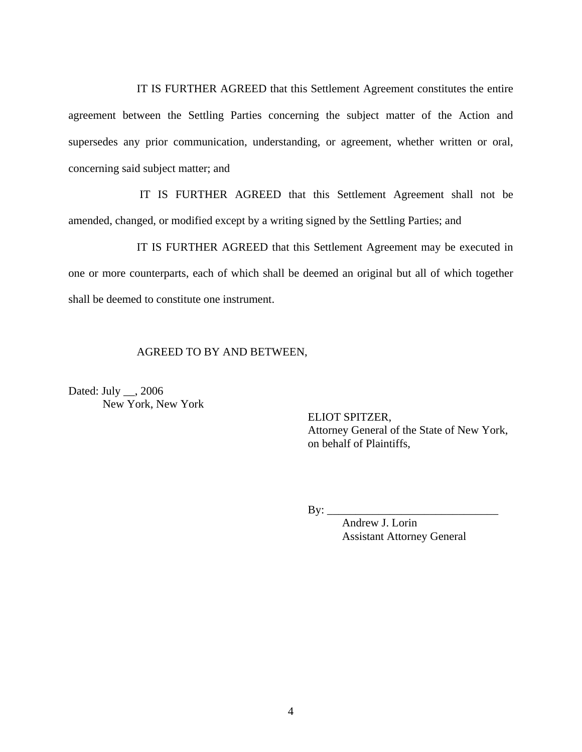IT IS FURTHER AGREED that this Settlement Agreement constitutes the entire agreement between the Settling Parties concerning the subject matter of the Action and supersedes any prior communication, understanding, or agreement, whether written or oral, concerning said subject matter; and

 IT IS FURTHER AGREED that this Settlement Agreement shall not be amended, changed, or modified except by a writing signed by the Settling Parties; and

IT IS FURTHER AGREED that this Settlement Agreement may be executed in one or more counterparts, each of which shall be deemed an original but all of which together shall be deemed to constitute one instrument.

## AGREED TO BY AND BETWEEN,

Dated: July \_\_, 2006 New York, New York

> ELIOT SPITZER, Attorney General of the State of New York, on behalf of Plaintiffs,

By: \_\_\_\_\_\_\_\_\_\_\_\_\_\_\_\_\_\_\_\_\_\_\_\_\_\_\_\_\_\_

 Andrew J. Lorin Assistant Attorney General